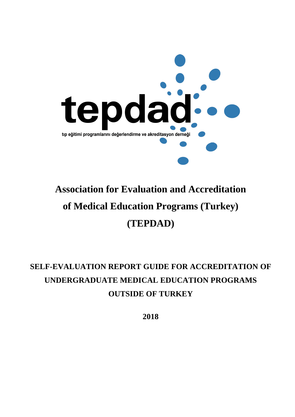

# **Association for Evaluation and Accreditation of Medical Education Programs (Turkey) (TEPDAD)**

# **SELF-EVALUATION REPORT GUIDE FOR ACCREDITATION OF UNDERGRADUATE MEDICAL EDUCATION PROGRAMS OUTSIDE OF TURKEY**

**2018**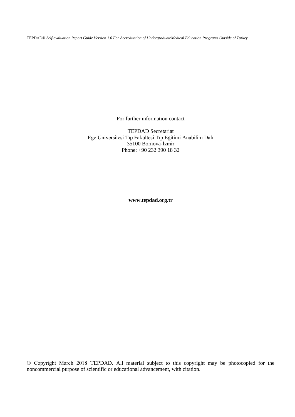TEPDAD® *Self-evaluation Report Guide Version 1.0 For Accreditation of UndergraduateMedical Education Programs Outside of Turkey*

For further information contact

TEPDAD Secretariat Ege Üniversitesi Tıp Fakültesi Tıp Eğitimi Anabilim Dalı 35100 Bornova-İzmir Phone: +90 232 390 18 32

**www.tepdad.org.tr** 

© Copyright March 2018 TEPDAD. All material subject to this copyright may be photocopied for the noncommercial purpose of scientific or educational advancement, with citation.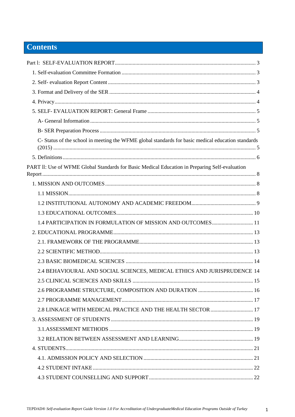# **Contents**

| C- Status of the school in meeting the WFME global standards for basic medical education standards |  |
|----------------------------------------------------------------------------------------------------|--|
|                                                                                                    |  |
| PART II: Use of WFME Global Standards for Basic Medical Education in Preparing Self-evaluation     |  |
|                                                                                                    |  |
|                                                                                                    |  |
|                                                                                                    |  |
|                                                                                                    |  |
| 1.4 PARTICIPATION IN FORMULATION OF MISSION AND OUTCOMES 11                                        |  |
|                                                                                                    |  |
|                                                                                                    |  |
|                                                                                                    |  |
|                                                                                                    |  |
| 2.4 BEHAVIOURAL AND SOCIAL SCIENCES, MEDICAL ETHICS AND JURISPRUDENCE 14                           |  |
|                                                                                                    |  |
|                                                                                                    |  |
|                                                                                                    |  |
| 2.8 LINKAGE WITH MEDICAL PRACTICE AND THE HEALTH SECTOR  17                                        |  |
|                                                                                                    |  |
|                                                                                                    |  |
|                                                                                                    |  |
|                                                                                                    |  |
|                                                                                                    |  |
|                                                                                                    |  |
|                                                                                                    |  |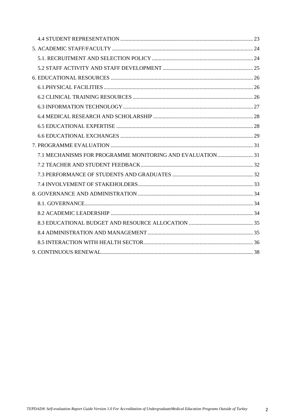| 7.1 MECHANISMS FOR PROGRAMME MONITORING AND EVALUATION 31 |  |
|-----------------------------------------------------------|--|
|                                                           |  |
|                                                           |  |
|                                                           |  |
|                                                           |  |
|                                                           |  |
|                                                           |  |
|                                                           |  |
|                                                           |  |
|                                                           |  |
|                                                           |  |

 $\overline{2}$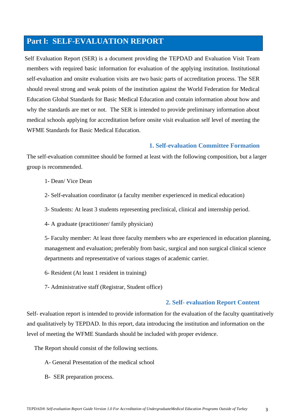# <span id="page-4-0"></span>**Part l: SELF-EVALUATION REPORT**

Self Evaluation Report (SER) is a document providing the TEPDAD and Evaluation Visit Team members with required basic information for evaluation of the applying institution. Institutional self-evaluation and onsite evaluation visits are two basic parts of accreditation process. The SER should reveal strong and weak points of the institution against the World Federation for Medical Education Global Standards for Basic Medical Education and contain information about how and why the standards are met or not. The SER is intended to provide preliminary information about medical schools applying for accreditation before onsite visit evaluation self level of meeting the WFME Standards for Basic Medical Education.

## **1. Self-evaluation Committee Formation**

<span id="page-4-1"></span>The self-evaluation committee should be formed at least with the following composition, but a larger group is recommended.

- 1- Dean/ Vice Dean
- 2- Self-evaluation coordinator (a faculty member experienced in medical education)
- 3- Students: At least 3 students representing preclinical, clinical and internship period.
- 4- A graduate (practitioner/ family physician)

5- Faculty member: At least three faculty members who are experienced in education planning, management and evaluation; preferably from basic, surgical and non surgical clinical science departments and representative of various stages of academic carrier.

- 6- Resident (At least 1 resident in training)
- 7- Administrative staff (Registrar, Student office)

## **2. Self- evaluation Report Content**

<span id="page-4-2"></span>Self- evaluation report is intended to provide information for the evaluation of the faculty quantitatively and qualitatively by TEPDAD. In this report, data introducing the institution and information on the level of meeting the WFME Standards should be included with proper evidence.

The Report should consist of the following sections.

- A- General Presentation of the medical school
- B- SER preparation process.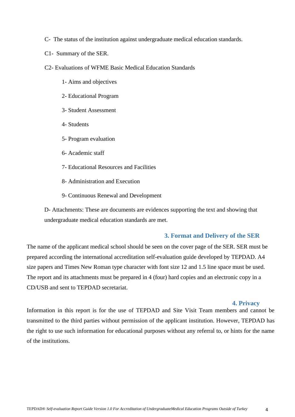- C- The status of the institution against undergraduate medical education standards.
- C1- Summary of the SER.
- C2- Evaluations of WFME Basic Medical Education Standards
	- 1- Aims and objectives
	- 2- Educational Program
	- 3- Student Assessment
	- 4- Students
	- 5- Program evaluation
	- 6- Academic staff
	- 7- Educational Resources and Facilities
	- 8- Administration and Execution
	- 9- Continuous Renewal and Development

D- Attachments: These are documents are evidences supporting the text and showing that undergraduate medical education standards are met.

#### **3. Format and Delivery of the SER**

<span id="page-5-0"></span>The name of the applicant medical school should be seen on the cover page of the SER. SER must be prepared according the international accreditation self-evaluation guide developed by TEPDAD. A4 size papers and Times New Roman type character with font size 12 and 1.5 line space must be used. The report and its attachments must be prepared in 4 (four) hard copies and an electronic copy in a CD/USB and sent to TEPDAD secretariat.

#### **4. Privacy**

<span id="page-5-1"></span>Information in this report is for the use of TEPDAD and Site Visit Team members and cannot be transmitted to the third parties without permission of the applicant institution. However, TEPDAD has the right to use such information for educational purposes without any referral to, or hints for the name of the institutions.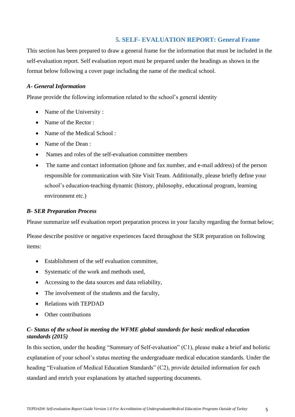# **5. SELF- EVALUATION REPORT: General Frame**

<span id="page-6-0"></span>This section has been prepared to draw a general frame for the information that must be included in the self-evaluation report. Self evaluation report must be prepared under the headings as shown in the format below following a cover page including the name of the medical school.

#### <span id="page-6-1"></span>*A- General Information*

Please provide the following information related to the school's general identity

- Name of the University :
- Name of the Rector :
- Name of the Medical School :
- Name of the Dean :
- Names and roles of the self-evaluation committee members
- The name and contact information (phone and fax number, and e-mail address) of the person responsible for communication with Site Visit Team. Additionally, please briefly define your school's education-teaching dynamic (history, philosophy, educational program, learning environment etc.)

#### <span id="page-6-2"></span>*B- SER Preparation Process*

Please summarize self evaluation report preparation process in your faculty regarding the format below;

Please describe positive or negative experiences faced throughout the SER preparation on following items:

- Establishment of the self evaluation committee,
- Systematic of the work and methods used,
- Accessing to the data sources and data reliability,
- The involvement of the students and the faculty,
- Relations with TEPDAD
- Other contributions

## <span id="page-6-3"></span>*C- Status of the school in meeting the WFME global standards for basic medical education standards (2015)*

In this section, under the heading "Summary of Self-evaluation" (C1), please make a brief and holistic explanation of your school's status meeting the undergraduate medical education standards. Under the heading "Evaluation of Medical Education Standards" (C2), provide detailed information for each standard and enrich your explanations by attached supporting documents.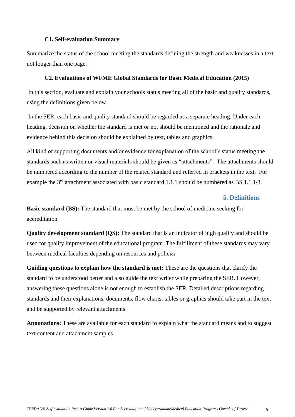#### **C1. Self-evaluation Summary**

Summarize the status of the school meeting the standards defining the strength and weaknesses in a text not longer than one page.

#### **C2. Evaluations of WFME Global Standards for Basic Medical Education (2015)**

In this section, evaluate and explain your schools status meeting all of the basic and quality standards, using the definitions given below.

In the SER, each basic and quality standard should be regarded as a separate heading. Under each heading, decision on whether the standard is met or not should be mentioned and the rationale and evidence behind this decision should be explained by text, tables and graphics.

All kind of supporting documents and/or evidence for explanation of the school's status meeting the standards such as written or visual materials should be given as "attachments". The attachments should be numbered according to the number of the related standard and referred in brackets in the text. For example the 3<sup>rd</sup> attachment associated with basic standard 1.1.1 should be numbered as BS 1.1.1/3.

#### **5. Definitions**

<span id="page-7-0"></span>**Basic standard (BS):** The standard that must be met by the school of medicine seeking for accreditation

**Quality development standard (QS):** The standard that is an indicator of high quality and should be used for quality improvement of the educational program. The fulfillment of these standards may vary between medical faculties depending on resources and polici*es*

**Guiding questions to explain how the standard is met:** These are the questions that clarify the standard to be understood better and also guide the text writer while preparing the SER. However, answering these questions alone is not enough to establish the SER. Detailed descriptions regarding standards and their explanations, documents, flow charts, tables or graphics should take part in the text and be supported by relevant attachments.

**Annonations:** These are available for each standard to explain what the standard means and to suggest text content and attachment samples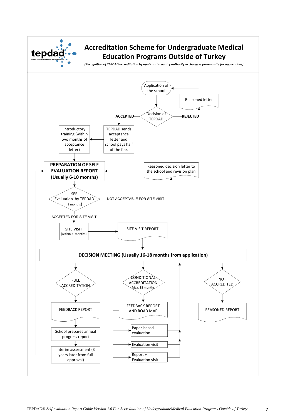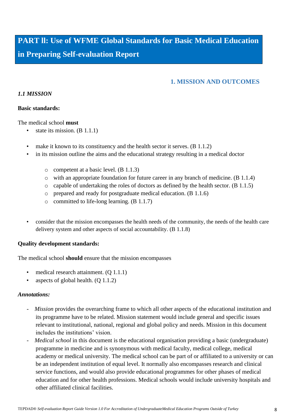<span id="page-9-0"></span>**PART ll: Use of WFME Global Standards for Basic Medical Education in Preparing Self-evaluation Report**

# **1. MISSION AND OUTCOMES**

## <span id="page-9-2"></span><span id="page-9-1"></span>*1.1 MISSION*

#### **Basic standards:**

The medical school **must**

- state its mission.  $(B 1.1.1)$
- make it known to its constituency and the health sector it serves.  $(B 1.1.2)$
- in its mission outline the aims and the educational strategy resulting in a medical doctor
	- o competent at a basic level. (B 1.1.3)
	- o with an appropriate foundation for future career in any branch of medicine. (B 1.1.4)
	- o capable of undertaking the roles of doctors as defined by the health sector. (B 1.1.5)
	- o prepared and ready for postgraduate medical education. (B 1.1.6)
	- o committed to life-long learning. (B 1.1.7)
- consider that the mission encompasses the health needs of the community, the needs of the health care delivery system and other aspects of social accountability. (B 1.1.8)

#### **Quality development standards:**

The medical school **should** ensure that the mission encompasses

- medical research attainment. (Q 1.1.1)
- aspects of global health.  $(Q 1.1.2)$

- *Mission* provides the overarching frame to which all other aspects of the educational institution and its programme have to be related. Mission statement would include general and specific issues relevant to institutional, national, regional and global policy and needs. Mission in this document includes the institutions' vision.
- *Medical school* in this document is the educational organisation providing a basic (undergraduate) programme in medicine and is synonymous with medical faculty, medical college, medical academy or medical university. The medical school can be part of or affiliated to a university or can be an independent institution of equal level. It normally also encompasses research and clinical service functions, and would also provide educational programmes for other phases of medical education and for other health professions. Medical schools would include university hospitals and other affiliated clinical facilities.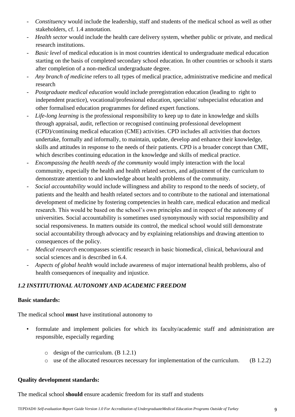- *Constituency* would include the leadership, staff and students of the medical school as well as other stakeholders, cf. 1.4 annotation.
- *Health sector* would include the health care delivery system, whether public or private, and medical research institutions.
- *Basic level* of medical education is in most countries identical to undergraduate medical education starting on the basis of completed secondary school education. In other countries or schools it starts after completion of a non-medical undergraduate degree.
- *Any branch of medicine* refers to all types of medical practice, administrative medicine and medical research
- *Postgraduate medical education* would include preregistration education (leading to right to independent practice), vocational/professional education, specialist/ subspecialist education and other formalised education programmes for defined expert functions.
- Life-long learning is the professional responsibility to keep up to date in knowledge and skills through appraisal, audit, reflection or recognised continuing professional development (CPD)/continuing medical education (CME) activities. CPD includes all activities that doctors undertake, formally and informally, to maintain, update, develop and enhance their knowledge, skills and attitudes in response to the needs of their patients. CPD is a broader concept than CME, which describes continuing education in the knowledge and skills of medical practice.
- *Encompassing the health needs of the* c*ommunity* would imply interaction with the local community, especially the health and health related sectors, and adjustment of the curriculum to demonstrate attention to and knowledge about health problems of the community.
- *Social accountability* would include willingness and ability to respond to the needs of society, of patients and the health and health related sectors and to contribute to the national and international development of medicine by fostering competencies in health care, medical education and medical research. This would be based on the school's own principles and in respect of the autonomy of universities. Social accountability is sometimes used synonymously with social responsibility and social responsiveness. In matters outside its control, the medical school would still demonstrate social accountability through advocacy and by explaining relationships and drawing attention to consequences of the policy.
- *Medical research* encompasses scientific research in basic biomedical, clinical, behavioural and social sciences and is described in 6.4.
- *Aspects of global health* would include awareness of major international health problems, also of health consequences of inequality and injustice.

# <span id="page-10-0"></span>*1.2 INSTITUTIONAL AUTONOMY AND ACADEMIC FREEDOM*

## **Basic standards:**

The medical school **must** have institutional autonomy to

- formulate and implement policies for which its faculty/academic staff and administration are responsible, especially regarding
	- o design of the curriculum. (B 1.2.1)
	- o use of the allocated resources necessary for implementation of the curriculum. (B 1.2.2)

# **Quality development standards:**

The medical school **should** ensure academic freedom for its staff and students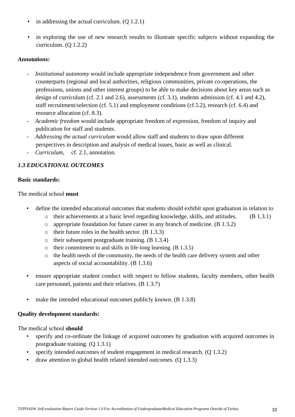- in addressing the actual curriculum. (Q 1.2.1)
- in exploring the use of new research results to illustrate specific subjects without expanding the curriculum. (Q 1.2.2)

- *Institutional autonomy* would include appropriate independence from government and other counterparts (regional and local authorities, religious communities, private co-operations, the professions, unions and other interest groups) to be able to make decisions about key areas such as design of curriculum (cf. 2.1 and 2.6), assessments (cf. 3.1), students admission (cf. 4.1 and 4.2), staff recruitment/selection (cf. 5.1) and employment conditions (cf.5.2), research (cf. 6.4) and resource allocation (cf. 8.3).
- *Academic freedom* would include appropriate freedom of expression, freedom of inquiry and publication for staff and students.
- *Addressing the actual curriculum* would allow staff and students to draw upon different perspectives in description and analysis of medical issues, basic as well as clinical.
- *Curriculum,* cf. 2.1, annotation.

# <span id="page-11-0"></span>*1.3 EDUCATIONAL OUTCOMES*

#### **Basic standards:**

The medical school **must**

- define the intended educational outcomes that students should exhibit upon graduation in relation to
	- o their achievements at a basic level regarding knowledge, skills, and attitudes. (B 1.3.1)
	- o appropriate foundation for future career in any branch of medicine. (B 1.3.2)
	- $\circ$  their future roles in the health sector. (B 1.3.3)
	- o their subsequent postgraduate training. (B 1.3.4)
	- o their commitment to and skills in life-long learning. (B 1.3.5)
	- o the health needs of the community, the needs of the health care delivery system and other aspects of social accountability. (B 1.3.6)
- ensure appropriate student conduct with respect to fellow students, faculty members, other health care personnel, patients and their relatives. (B 1.3.7)
- make the intended educational outcomes publicly known. (B 1.3.8)

## **Quality development standards:**

- specify and co-ordinate the linkage of acquired outcomes by graduation with acquired outcomes in postgraduate training. (Q 1.3.1)
- specify intended outcomes of student engagement in medical research. (Q 1.3.2)
- draw attention to global health related intended outcomes. (Q 1.3.3)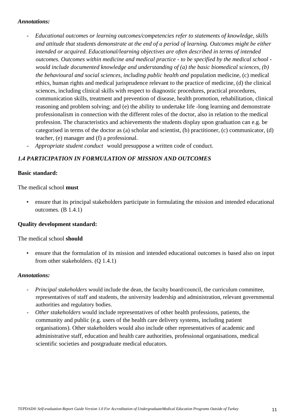- *Educational outcomes or learning outcomes/competencies refer to statements of knowledge, skills and attitude that students demonstrate at the end of a period of learning. Outcomes might be either intended or acquired. Educational/learning objectives are often described in terms of intended outcomes. Outcomes within medicine and medical practice - to be specified by the medical school would include documented knowledge and understanding of (a) the basic biomedical sciences, (b) the behavioural and social sciences, including public health and* population medicine, (c) medical ethics, human rights and medical jurisprudence relevant to the practice of medicine, (d) the clinical sciences, including clinical skills with respect to diagnostic procedures, practical procedures, communication skills, treatment and prevention of disease, health promotion, rehabilitation, clinical reasoning and problem solving; and (e) the ability to undertake life -long learning and demonstrate professionalism in connection with the different roles of the doctor, also in relation to the medical profession. The characteristics and achievements the students display upon graduation can e.g. be categorised in terms of the doctor as (a) scholar and scientist, (b) practitioner, (c) communicator, (d) teacher, (e) manager and (f) a professional.
- *Appropriate student conduct* would presuppose a written code of conduct.

## <span id="page-12-0"></span>*1.4 PARTICIPATION IN FORMULATION OF MISSION AND OUTCOMES*

#### **Basic standard:**

The medical school **must**

• ensure that its principal stakeholders participate in formulating the mission and intended educational outcomes. (B 1.4.1)

## **Quality development standard:**

The medical school **should**

• ensure that the formulation of its mission and intended educational outcomes is based also on input from other stakeholders. (Q 1.4.1)

- *Principal stakeholders* would include the dean, the faculty board/council, the curriculum committee, representatives of staff and students, the university leadership and administration, relevant governmental authorities and regulatory bodies.
- *Other stakeholders* would include representatives of other health professions, patients, the community and public (e.g. users of the health care delivery systems, including patient organisations). Other stakeholders would also include other representatives of academic and administrative staff, education and health care authorities, professional organisations, medical scientific societies and postgraduate medical educators.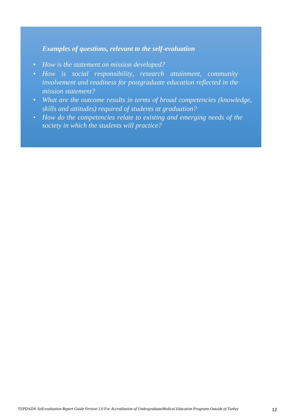- *How is the statement on mission developed?*
- *How is social responsibility, research attainment, community involvement and readiness for postgraduate education reflected in the mission statement?*
- *What are the outcome results in terms of broad competencies (knowledge, skills and attitudes) required of students at graduation?*
- *How do the competencies relate to existing and emerging needs of the society in which the students will practice?*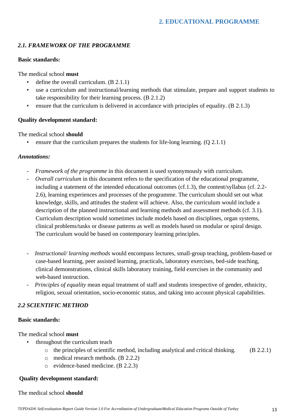# <span id="page-14-1"></span><span id="page-14-0"></span>*2.1. FRAMEWORK OF THE PROGRAMME*

#### **Basic standards:**

The medical school **must**

- define the overall curriculum.  $(B 2.1.1)$
- use a curriculum and instructional/learning methods that stimulate, prepare and support students to take responsibility for their learning process. (B 2.1.2)
- ensure that the curriculum is delivered in accordance with principles of equality. (B 2.1.3)

## **Quality development standard:**

The medical school **should**

• ensure that the curriculum prepares the students for life-long learning.  $(Q 2.1.1)$ 

#### *Annotations:*

- *Framework of the programme* in this document is used synonymously with curriculum.
- *Overall curriculum* in this document refers to the specification of the educational programme, including a statement of the intended educational outcomes (cf.1.3), the content/syllabus (cf. 2.2- 2.6), learning experiences and processes of the programme. The curriculum should set out what knowledge, skills, and attitudes the student will achieve. Also, the curriculum would include a description of the planned instructional and learning methods and assessment methods (cf. 3.1). Curriculum description would sometimes include models based on disciplines, organ systems, clinical problems/tasks or disease patterns as well as models based on modular or spiral design. The curriculum would be based on contemporary learning principles.
- *Instructional/ learning methods* would encompass lectures, small-group teaching, problem-based or case-based learning, peer assisted learning, practicals, laboratory exercises, bed-side teaching, clinical demonstrations, clinical skills laboratory training, field exercises in the community and web-based instruction.
- *Principles of equality* mean equal treatment of staff and students irrespective of gender, ethnicity, religion, sexual orientation, socio-economic status, and taking into account physical capabilities.

## <span id="page-14-2"></span>*2.2 SCIENTIFIC METHOD*

#### **Basic standards:**

The medical school **must**

- throughout the curriculum teach
	- $\circ$  the principles of scientific method, including analytical and critical thinking. (B 2.2.1)
	- o medical research methods. (B 2.2.2)
	- o evidence-based medicine. (B 2.2.3)

## **Quality development standard:**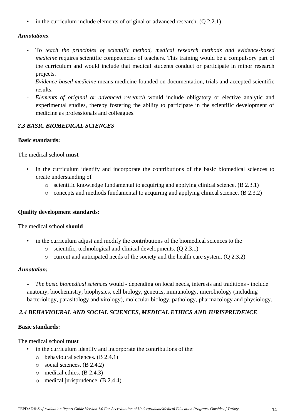• in the curriculum include elements of original or advanced research. (Q 2.2.1)

## *Annotations*:

- To teach the principles of scientific method, medical research methods and evidence-based *medicine* requires scientific competencies of teachers. This training would be a compulsory part of the curriculum and would include that medical students conduct or participate in minor research projects.
- *Evidence-based medicine* means medicine founded on documentation, trials and accepted scientific results.
- *Elements of original or advanced research* would include obligatory or elective analytic and experimental studies, thereby fostering the ability to participate in the scientific development of medicine as professionals and colleagues.

## <span id="page-15-0"></span>*2.3 BASIC BIOMEDICAL SCIENCES*

#### **Basic standards:**

The medical school **must**

- in the curriculum identify and incorporate the contributions of the basic biomedical sciences to create understanding of
	- o scientific knowledge fundamental to acquiring and applying clinical science. (B 2.3.1)
	- o concepts and methods fundamental to acquiring and applying clinical science. (B 2.3.2)

## **Quality development standards:**

## The medical school **should**

- in the curriculum adjust and modify the contributions of the biomedical sciences to the
	- o scientific, technological and clinical developments. (Q 2.3.1)
	- o current and anticipated needs of the society and the health care system. (Q 2.3.2)

## *Annotation:*

- *The basic biomedical sciences* would - depending on local needs, interests and traditions - include anatomy, biochemistry, biophysics, cell biology, genetics, immunology, microbiology (including bacteriology, parasitology and virology), molecular biology, pathology, pharmacology and physiology.

## <span id="page-15-1"></span>*2.4 BEHAVIOURAL AND SOCIAL SCIENCES, MEDICAL ETHICS AND JURISPRUDENCE*

## **Basic standards:**

The medical school **must**

- in the curriculum identify and incorporate the contributions of the:
	- o behavioural sciences. (B 2.4.1)
	- o social sciences. (B 2.4.2)
	- o medical ethics. (B 2.4.3)
	- o medical jurisprudence. (B 2.4.4)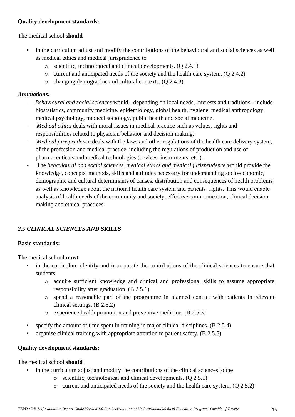## **Quality development standards:**

## The medical school **should**

- in the curriculum adjust and modify the contributions of the behavioural and social sciences as well as medical ethics and medical jurisprudence to
	- o scientific, technological and clinical developments. (Q 2.4.1)
	- $\circ$  current and anticipated needs of the society and the health care system. (O 2.4.2)
	- o changing demographic and cultural contexts. (Q 2.4.3)

## *Annotations:*

- *Behavioural and social sciences* would depending on local needs, interests and traditions include biostatistics, community medicine, epidemiology, global health, hygiene, medical anthropology, medical psychology, medical sociology, public health and social medicine.
- *Medical ethics* deals with moral issues in medical practice such as values, rights and responsibilities related to physician behavior and decision making.
- *Medical jurisprudence* deals with the laws and other regulations of the health care delivery system, of the profession and medical practice, including the regulations of production and use of pharmaceuticals and medical technologies (devices, instruments, etc.).
- The *behavioural and social sciences, medical ethics and medical jurisprudence* would provide the knowledge, concepts, methods, skills and attitudes necessary for understanding socio-economic, demographic and cultural determinants of causes, distribution and consequences of health problems as well as knowledge about the national health care system and patients' rights. This would enable analysis of health needs of the community and society, effective communication, clinical decision making and ethical practices.

# <span id="page-16-0"></span>*2.5 CLINICAL SCIENCES AND SKILLS*

## **Basic standards:**

The medical school **must**

- in the curriculum identify and incorporate the contributions of the clinical sciences to ensure that students
	- o acquire sufficient knowledge and clinical and professional skills to assume appropriate responsibility after graduation. (B 2.5.1)
	- o spend a reasonable part of the programme in planned contact with patients in relevant clinical settings. (B 2.5.2)
	- o experience health promotion and preventive medicine. (B 2.5.3)
- specify the amount of time spent in training in major clinical disciplines. (B 2.5.4)
- organise clinical training with appropriate attention to patient safety. (B 2.5.5)

## **Quality development standards:**

- in the curriculum adjust and modify the contributions of the clinical sciences to the
	- o scientific, technological and clinical developments. (Q 2.5.1)
	- o current and anticipated needs of the society and the health care system. (Q 2.5.2)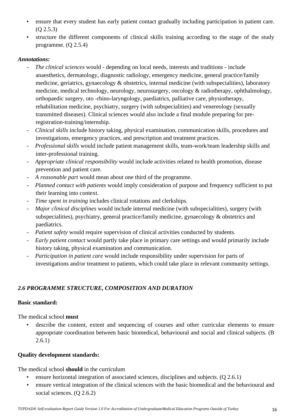- ensure that every student has early patient contact gradually including participation in patient care. (Q 2.5.3)
- structure the different components of clinical skills training according to the stage of the study programme. (Q 2.5.4)

- *The clinical sciences* would depending on local needs, interests and traditions include anaesthetics, dermatology, diagnostic radiology, emergency medicine, general practice/family medicine, geriatrics, gynaecology & obstetrics, internal medicine (with subspecialities), laboratory medicine, medical technology, neurology, neurosurgery, oncology & radiotherapy, ophthalmology, orthopaedic surgery, oto -rhino-laryngology, paediatrics, palliative care, physiotherapy, rehabilitation medicine, psychiatry, surgery (with subspecialities) and venereology (sexually transmitted diseases). Clinical sciences would also include a final module preparing for preregistration-training/internship.
- *Clinical skills* include history taking, physical examination, communication skills, procedures and investigations, emergency practices, and prescription and treatment practices.
- *Professional skills* would include patient management skills, team-work/team leadership skills and inter-professional training.
- *Appropriate clinical responsibility* would include activities related to health promotion, disease prevention and patient care.
- *A reasonable part* would mean about one third of the programme.
- *Planned contact with patients* would imply consideration of purpose and frequency sufficient to put their learning into context.
- Time spent in training includes clinical rotations and clerkships.
- *Major clinical disciplines* would include internal medicine (with subspecialities), surgery (with subspecialities), psychiatry, general practice/family medicine, gynaecology & obstetrics and paediatrics.
- *Patient safety* would require supervision of clinical activities conducted by students.
- *Early patient contact* would partly take place in primary care settings and would primarily include history taking, physical examination and communication.
- *Participation in patient care* would include responsibility under supervision for parts of investigations and/or treatment to patients, which could take place in relevant community settings.

# <span id="page-17-0"></span>*2.6 PROGRAMME STRUCTURE, COMPOSITION AND DURATION*

# **Basic standard:**

The medical school **must**

describe the content, extent and sequencing of courses and other curricular elements to ensure appropriate coordination between basic biomedical, behavioural and social and clinical subjects. (B  $2.6.1)$ 

# **Quality development standards:**

The medical school **should** in the curriculum

- ensure horizontal integration of associated sciences, disciplines and subjects. (Q 2.6.1)
- ensure vertical integration of the clinical sciences with the basic biomedical and the behavioural and social sciences. (Q 2.6.2)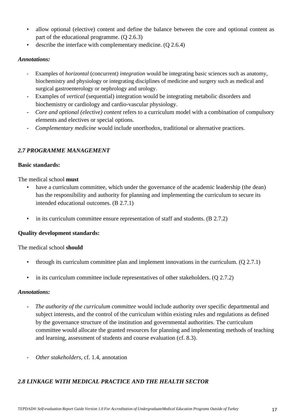- allow optional (elective) content and define the balance between the core and optional content as part of the educational programme. (Q 2.6.3)
- describe the interface with complementary medicine. (Q 2.6.4)

- Examples of *horizontal* (concurrent) *integration* would be integrating basic sciences such as anatomy, biochemistry and physiology or integrating disciplines of medicine and surgery such as medical and surgical gastroenterology or nephrology and urology.
- Examples of *vertical* (sequential) integration would be integrating metabolic disorders and biochemistry or cardiology and cardio-vascular physiology.
- *Core and optional (elective) content* refers to a curriculum model with a combination of compulsory elements and electives or special options.
- *Complementary medicine* would include unorthodox, traditional or alternative practices.

# <span id="page-18-0"></span>*2.7 PROGRAMME MANAGEMENT*

## **Basic standards:**

The medical school **must**

- have a curriculum committee, which under the governance of the academic leadership (the dean) has the responsibility and authority for planning and implementing the curriculum to secure its intended educational outcomes. (B 2.7.1)
- in its curriculum committee ensure representation of staff and students. (B 2.7.2)

## **Quality development standards:**

The medical school **should**

- through its curriculum committee plan and implement innovations in the curriculum.  $(Q 2.7.1)$
- in its curriculum committee include representatives of other stakeholders.  $(Q 2.7.2)$

## *Annotations:*

- *The authority of the curriculum committee* would include authority over specific departmental and subject interests, and the control of the curriculum within existing rules and regulations as defined by the governance structure of the institution and governmental authorities. The curriculum committee would allocate the granted resources for planning and implementing methods of teaching and learning, assessment of students and course evaluation (cf. 8.3).
- *Other stakeholders*, cf. 1.4, annotation

# <span id="page-18-1"></span>*2.8 LINKAGE WITH MEDICAL PRACTICE AND THE HEALTH SECTOR*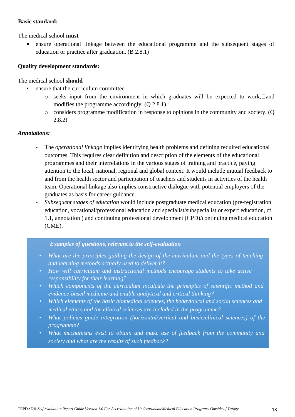#### **Basic standard:**

The medical school **must**

• ensure operational linkage between the educational programme and the subsequent stages of education or practice after graduation. (B 2.8.1)

## **Quality development standards:**

The medical school **should**

- ensure that the curriculum committee
	- $\circ$  seeks input from the environment in which graduates will be expected to work, and modifies the programme accordingly. (Q 2.8.1)
	- o considers programme modification in response to opinions in the community and society. (Q 2.8.2)

#### *Annotations:*

- The *operational linkage* implies identifying health problems and defining required educational outcomes. This requires clear definition and description of the elements of the educational programmes and their interrelations in the various stages of training and practice, paying attention to the local, national, regional and global context. It would include mutual feedback to and from the health sector and participation of teachers and students in activities of the health team. Operational linkage also implies constructive dialogue with potential employers of the graduates as basis for career guidance.
- *Subsequent stages of education* would include postgraduate medical education (pre-registration education, vocational/professional education and specialist/subspecialist or expert education, cf. 1.1, annotation ) and continuing professional development (CPD)/continuing medical education (CME).

- *What are the principles guiding the design of the curriculum and the types of teaching and learning methods actually used to deliver it?*
- *How will curriculum and instructional methods encourage students to take active responsibility for their learning?*
- *Which components of the curriculum inculcate the principles of scientific method and evidence-based medicine and enable analytical and critical thinking?*
- *Which elements of the basic biomedical sciences, the behavioural and social sciences and medical ethics and the clinical sciences are included in the programme?*
- *What policies guide integration (horizontal/vertical and basic/clinical sciences) of the programme?*
- *What mechanisms exist to obtain and make use of feedback from the community and society and what are the results of such feedback?*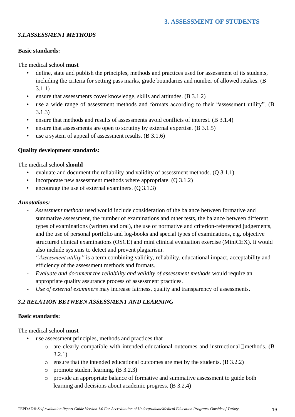## <span id="page-20-1"></span><span id="page-20-0"></span>*3.1.ASSESSMENT METHODS*

#### **Basic standards:**

The medical school **must**

- define, state and publish the principles, methods and practices used for assessment of its students, including the criteria for setting pass marks, grade boundaries and number of allowed retakes. (B 3.1.1)
- ensure that assessments cover knowledge, skills and attitudes. (B 3.1.2)
- use a wide range of assessment methods and formats according to their "assessment utility". (B 3.1.3)
- ensure that methods and results of assessments avoid conflicts of interest. (B 3.1.4)
- ensure that assessments are open to scrutiny by external expertise. (B 3.1.5)
- use a system of appeal of assessment results. (B 3.1.6)

#### **Quality development standards:**

The medical school **should**

- evaluate and document the reliability and validity of assessment methods. (Q 3.1.1)
- incorporate new assessment methods where appropriate. (Q 3.1.2)
- encourage the use of external examiners. (Q 3.1.3)

#### *Annotations:*

- *Assessment methods* used would include consideration of the balance between formative and summative assessment, the number of examinations and other tests, the balance between different types of examinations (written and oral), the use of normative and criterion-referenced judgements, and the use of personal portfolio and log-books and special types of examinations, e.g. objective structured clinical examinations (OSCE) and mini clinical evaluation exercise (MiniCEX). It would also include systems to detect and prevent plagiarism.
- *"Assessment utility"* is a term combining validity, reliability, educational impact, acceptability and efficiency of the assessment methods and formats.
- *Evaluate and document the reliability and validity of assessment methods* would require an appropriate quality assurance process of assessment practices.
- *Use of external examiners* may increase fairness, quality and transparency of assessments.

## <span id="page-20-2"></span>*3.2 RELATION BETWEEN ASSESSMENT AND LEARNING*

#### **Basic standards:**

#### The medical school **must**

- use assessment principles, methods and practices that
	- o are clearly compatible with intended educational outcomes and instructional methods. (B 3.2.1)
	- o ensure that the intended educational outcomes are met by the students. (B 3.2.2)
	- o promote student learning. (B 3.2.3)
	- o provide an appropriate balance of formative and summative assessment to guide both learning and decisions about academic progress. (B 3.2.4)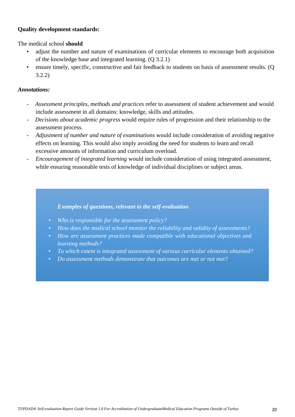## **Quality development standards:**

The medical school **should**

- adjust the number and nature of examinations of curricular elements to encourage both acquisition of the knowledge base and integrated learning. (Q 3.2.1)
- ensure timely, specific, constructive and fair feedback to students on basis of assessment results. (Q 3.2.2)

#### *Annotations:*

- *Assessment principles, methods and practices* refer to assessment of student achievement and would include assessment in all domains: knowledge, skills and attitudes.
- *Decisions about academic progress* would require rules of progression and their relationship to the assessment process.
- *Adjustment of number and nature of examinations* would include consideration of avoiding negative effects on learning. This would also imply avoiding the need for students to learn and recall excessive amounts of information and curriculum overload.
- *Encouragement of integrated learning* would include consideration of using integrated assessment, while ensuring reasonable tests of knowledge of individual disciplines or subject areas.

- *Who is responsible for the assessment policy?*
- *How does the medical school monitor the reliability and validity of assessments?*
- *How are assessment practices made compatible with educational objectives and learning methods?*
- *To which extent is integrated assessment of various curricular elements obtained?*
- *Do assessment methods demonstrate that outcomes are met or not met?*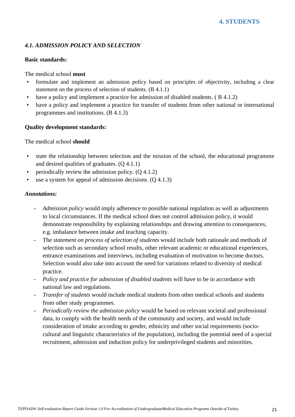## <span id="page-22-1"></span><span id="page-22-0"></span>*4.1. ADMISSION POLICY AND SELECTION*

#### **Basic standards:**

The medical school **must**

- formulate and implement an admission policy based on principles of objectivity, including a clear statement on the process of selection of students. (B 4.1.1)
- have a policy and implement a practice for admission of disabled students. (B 4.1.2)
- have a policy and implement a practice for transfer of students from other national or international programmes and institutions. (B 4.1.3)

## **Quality development standards:**

The medical school **should**

- state the relationship between selection and the mission of the school, the educational programme and desired qualities of graduates. (Q 4.1.1)
- periodically review the admission policy.  $(Q 4.1.2)$
- use a system for appeal of admission decisions.  $(Q 4.1.3)$

- *Admission policy* would imply adherence to possible national regulation as well as adjustments to local circumstances. If the medical school does not control admission policy, it would demonstrate responsibility by explaining relationships and drawing attention to consequences, e.g. imbalance between intake and teaching capacity.
- The *statement on process of selection of students* would include both rationale and methods of selection such as secondary school results, other relevant academic or educational experiences, entrance examinations and interviews, including evaluation of motivation to become doctors. Selection would also take into account the need for variations related to diversity of medical practice.
- *Policy and practice for admission of disabled students* will have to be in accordance with national law and regulations.
- *Transfer of students* would include medical students from other medical schools and students from other study programmes.
- *Periodically review the admission policy* would be based on relevant societal and professional data, to comply with the health needs of the community and society, and would include consideration of intake according to gender, ethnicity and other social requirements (sociocultural and linguistic characteristics of the population), including the potential need of a special recruitment, admission and induction policy for underprivileged students and minorities.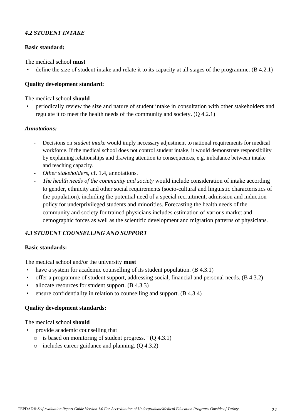#### <span id="page-23-0"></span>*4.2 STUDENT INTAKE*

#### **Basic standard:**

The medical school **must**

define the size of student intake and relate it to its capacity at all stages of the programme. (B 4.2.1)

## **Quality development standard:**

#### The medical school **should**

• periodically review the size and nature of student intake in consultation with other stakeholders and regulate it to meet the health needs of the community and society. (Q 4.2.1)

#### *Annotations:*

- Decisions on *student intake* would imply necessary adjustment to national requirements for medical workforce. If the medical school does not control student intake, it would demonstrate responsibility by explaining relationships and drawing attention to consequences, e.g. imbalance between intake and teaching capacity.
- *Other stakeholders*, cf. 1.4, annotations.
- *The health needs of the community and society* would include consideration of intake according to gender, ethnicity and other social requirements (socio-cultural and linguistic characteristics of the population), including the potential need of a special recruitment, admission and induction policy for underprivileged students and minorities. Forecasting the health needs of the community and society for trained physicians includes estimation of various market and demographic forces as well as the scientific development and migration patterns of physicians.

# <span id="page-23-1"></span>*4.3 STUDENT COUNSELLING AND SUPPORT*

#### **Basic standards:**

The medical school and/or the university **must**

- have a system for academic counselling of its student population. (B 4.3.1)
- offer a programme of student support, addressing social, financial and personal needs. (B 4.3.2)
- allocate resources for student support. (B 4.3.3)
- ensure confidentiality in relation to counselling and support. (B 4.3.4)

#### **Quality development standards:**

- provide academic counselling that
	- $\circ$  is based on monitoring of student progress.  $\Box$  (Q 4.3.1)
	- $\circ$  includes career guidance and planning. (O 4.3.2)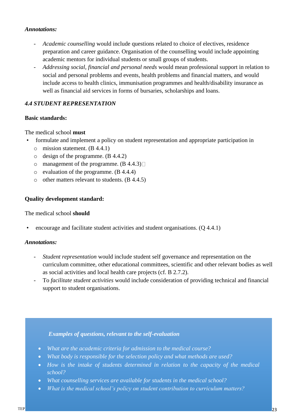- *Academic counselling* would include questions related to choice of electives, residence preparation and career guidance. Organisation of the counselling would include appointing academic mentors for individual students or small groups of students.
- *Addressing social, financial and personal needs* would mean professional support in relation to social and personal problems and events, health problems and financial matters, and would include access to health clinics, immunisation programmes and health/disability insurance as well as financial aid services in forms of bursaries, scholarships and loans.

# <span id="page-24-0"></span>*4.4 STUDENT REPRESENTATION*

## **Basic standards:**

The medical school **must**

- formulate and implement a policy on student representation and appropriate participation in
	- o mission statement. (B 4.4.1)
	- o design of the programme. (B 4.4.2)
	- o management of the programme.  $(B 4.4.3)$
	- o evaluation of the programme. (B 4.4.4)
	- o other matters relevant to students. (B 4.4.5)

## **Quality development standard:**

#### The medical school **should**

• encourage and facilitate student activities and student organisations. (Q 4.4.1)

#### *Annotations:*

- *Student representation* would include student self governance and representation on the curriculum committee, other educational committees, scientific and other relevant bodies as well as social activities and local health care projects (cf. B 2.7.2).
- To *facilitate student activities* would include consideration of providing technical and financial support to student organisations.

- *What are the academic criteria for admission to the medical course?*
- *What body is responsible for the selection policy and what methods are used?*
- *How is the intake of students determined in relation to the capacity of the medical school?*
- *What counselling services are available for students in the medical school?*
- *What is the medical school's policy on student contribution to curriculum matters?*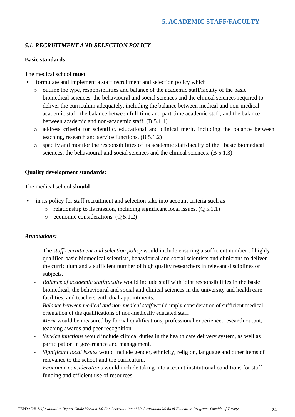# <span id="page-25-1"></span><span id="page-25-0"></span>*5.1. RECRUITMENT AND SELECTION POLICY*

## **Basic standards:**

## The medical school **must**

- formulate and implement a staff recruitment and selection policy which
	- o outline the type, responsibilities and balance of the academic staff/faculty of the basic biomedical sciences, the behavioural and social sciences and the clinical sciences required to deliver the curriculum adequately, including the balance between medical and non-medical academic staff, the balance between full-time and part-time academic staff, and the balance between academic and non-academic staff. (B 5.1.1)
	- o address criteria for scientific, educational and clinical merit, including the balance between teaching, research and service functions. (B 5.1.2)
	- $\circ$  specify and monitor the responsibilities of its academic staff/faculty of the Dasic biomedical sciences, the behavioural and social sciences and the clinical sciences. (B 5.1.3)

## **Quality development standards:**

The medical school **should**

- in its policy for staff recruitment and selection take into account criteria such as
	- $\circ$  relationship to its mission, including significant local issues. (Q 5.1.1)
	- o economic considerations. (Q 5.1.2)

- The *staff recruitment and selection policy* would include ensuring a sufficient number of highly qualified basic biomedical scientists, behavioural and social scientists and clinicians to deliver the curriculum and a sufficient number of high quality researchers in relevant disciplines or subjects.
- *Balance of academic staff/faculty* would include staff with joint responsibilities in the basic biomedical, the behavioural and social and clinical sciences in the university and health care facilities, and teachers with dual appointments.
- *Balance between medical and non-medical staff* would imply consideration of sufficient medical orientation of the qualifications of non-medically educated staff.
- *Merit* would be measured by formal qualifications, professional experience, research output, teaching awards and peer recognition.
- *Service functions* would include clinical duties in the health care delivery system, as well as participation in governance and management.
- *Significant local issues* would include gender, ethnicity, religion, language and other items of relevance to the school and the curriculum.
- *Economic considerations* would include taking into account institutional conditions for staff funding and efficient use of resources.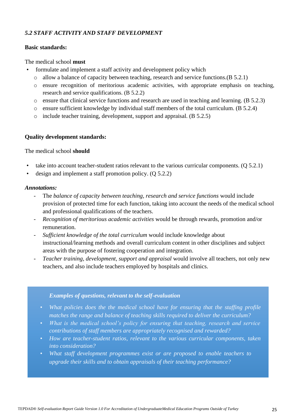## <span id="page-26-0"></span>*5.2 STAFF ACTIVITY AND STAFF DEVELOPMENT*

#### **Basic standards:**

#### The medical school **must**

- formulate and implement a staff activity and development policy which
	- o allow a balance of capacity between teaching, research and service functions.(B 5.2.1)
	- o ensure recognition of meritorious academic activities, with appropriate emphasis on teaching, research and service qualifications. (B 5.2.2)
	- o ensure that clinical service functions and research are used in teaching and learning. (B 5.2.3)
	- $\circ$  ensure sufficient knowledge by individual staff members of the total curriculum. (B 5.2.4)
	- o include teacher training, development, support and appraisal. (B 5.2.5)

#### **Quality development standards:**

#### The medical school **should**

- take into account teacher-student ratios relevant to the various curricular components. (Q 5.2.1)
- design and implement a staff promotion policy. (Q 5.2.2)

#### *Annotations:*

- The *balance of capacity between teaching, research and service functions* would include provision of protected time for each function, taking into account the needs of the medical school and professional qualifications of the teachers.
- *Recognition of meritorious academic activities* would be through rewards, promotion and/or remuneration.
- *Sufficient knowledge of the total curriculum* would include knowledge about instructional/learning methods and overall curriculum content in other disciplines and subject areas with the purpose of fostering cooperation and integration.
- *Teacher training, development, support and appraisal* would involve all teachers, not only new teachers, and also include teachers employed by hospitals and clinics.

- <span id="page-26-1"></span>• *What policies does the the medical school have for ensuring that the staffing profile matches the range and balance of teaching skills required to deliver the curriculum?*
- *What is the medical school's policy for ensuring that teaching, research and service contributions of staff members are appropriately recognised and rewarded?*
- *How are teacher-student ratios, relevant to the various curricular components, taken into consideration?*
- *What staff development programmes exist or are proposed to enable teachers to upgrade their skills and to obtain appraisals of their teaching performance?*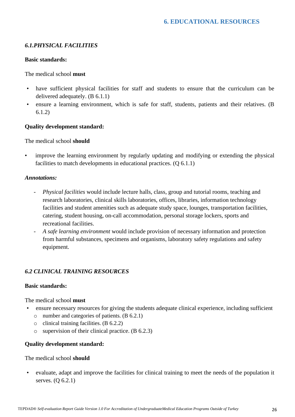# <span id="page-27-0"></span>*6.1.PHYSICAL FACILITIES*

#### **Basic standards:**

The medical school **must**

- have sufficient physical facilities for staff and students to ensure that the curriculum can be delivered adequately. (B 6.1.1)
- ensure a learning environment, which is safe for staff, students, patients and their relatives. (B 6.1.2)

#### **Quality development standard:**

The medical school **should**

• improve the learning environment by regularly updating and modifying or extending the physical facilities to match developments in educational practices. (Q 6.1.1)

#### *Annotations:*

- *Physical facilities* would include lecture halls, class, group and tutorial rooms, teaching and research laboratories, clinical skills laboratories, offices, libraries, information technology facilities and student amenities such as adequate study space, lounges, transportation facilities, catering, student housing, on-call accommodation, personal storage lockers, sports and recreational facilities.
- *A safe learning environment* would include provision of necessary information and protection from harmful substances, specimens and organisms, laboratory safety regulations and safety equipment.

## <span id="page-27-1"></span>*6.2 CLINICAL TRAINING RESOURCES*

#### **Basic standards:**

The medical school **must**

- ensure necessary resources for giving the students adequate clinical experience, including sufficient
	- o number and categories of patients. (B 6.2.1)
	- o clinical training facilities. (B 6.2.2)
	- o supervision of their clinical practice. (B 6.2.3)

#### **Quality development standard:**

The medical school **should**

• evaluate, adapt and improve the facilities for clinical training to meet the needs of the population it serves. (Q 6.2.1)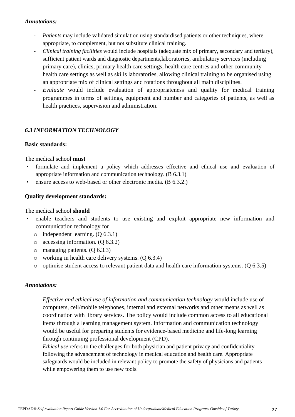- *Patients* may include validated simulation using standardised patients or other techniques, where appropriate, to complement, but not substitute clinical training.
- *Clinical training facilities* would include hospitals (adequate mix of primary, secondary and tertiary), sufficient patient wards and diagnostic departments,laboratories, ambulatory services (including primary care), clinics, primary health care settings, health care centres and other community health care settings as well as skills laboratories, allowing clinical training to be organised using an appropriate mix of clinical settings and rotations throughout all main disciplines.
- *Evaluate* would include evaluation of appropriateness and quality for medical training programmes in terms of settings, equipment and number and categories of patients, as well as health practices, supervision and administration.

## <span id="page-28-0"></span>*6.3 INFORMATION TECHNOLOGY*

#### **Basic standards:**

The medical school **must**

- formulate and implement a policy which addresses effective and ethical use and evaluation of appropriate information and communication technology. (B 6.3.1)
- ensure access to web-based or other electronic media. (B 6.3.2.)

#### **Quality development standards:**

The medical school **should**

- enable teachers and students to use existing and exploit appropriate new information and communication technology for
	- o independent learning. (Q 6.3.1)
	- $\circ$  accessing information. (Q 6.3.2)
	- o managing patients. (Q 6.3.3)
	- o working in health care delivery systems. (Q 6.3.4)
	- o optimise student access to relevant patient data and health care information systems. (Q 6.3.5)

- *Effective and ethical use of information and communication technology* would include use of computers, cell/mobile telephones, internal and external networks and other means as well as coordination with library services. The policy would include common access to all educational items through a learning management system. Information and communication technology would be useful for preparing students for evidence-based medicine and life-long learning through continuing professional development (CPD).
- *Ethical use* refers to the challenges for both physician and patient privacy and confidentiality following the advancement of technology in medical education and health care. Appropriate safeguards would be included in relevant policy to promote the safety of physicians and patients while empowering them to use new tools.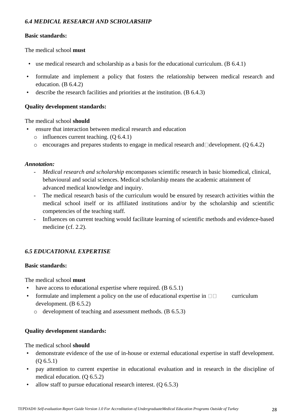# <span id="page-29-0"></span>*6.4 MEDICAL RESEARCH AND SCHOLARSHIP*

## **Basic standards:**

The medical school **must**

- use medical research and scholarship as a basis for the educational curriculum. (B 6.4.1)
- formulate and implement a policy that fosters the relationship between medical research and education. (B 6.4.2)
- describe the research facilities and priorities at the institution. (B 6.4.3)

#### **Quality development standards:**

The medical school **should**

- ensure that interaction between medical research and education
	- o influences current teaching. (Q 6.4.1)
	- $\circ$  encourages and prepares students to engage in medical research and development. (Q 6.4.2)

#### *Annotation:*

- *Medical research and scholarship* encompasses scientific research in basic biomedical, clinical, behavioural and social sciences. Medical scholarship means the academic attainment of advanced medical knowledge and inquiry.
- The medical research basis of the curriculum would be ensured by research activities within the medical school itself or its affiliated institutions and/or by the scholarship and scientific competencies of the teaching staff*.*
- Influences on current teaching would facilitate learning of scientific methods and evidence-based medicine (cf. 2.2).

# <span id="page-29-1"></span>*6.5 EDUCATIONAL EXPERTISE*

#### **Basic standards:**

The medical school **must**

- have access to educational expertise where required. (B 6.5.1)
- formulate and implement a policy on the use of educational expertise in  $\Box \Box$  curriculum development. (B 6.5.2)
	- o development of teaching and assessment methods. (B 6.5.3)

## **Quality development standards:**

- demonstrate evidence of the use of in-house or external educational expertise in staff development. (Q 6.5.1)
- pay attention to current expertise in educational evaluation and in research in the discipline of medical education. (Q 6.5.2)
- allow staff to pursue educational research interest.  $(Q 6.5.3)$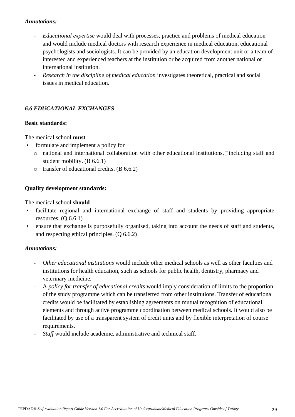- *Educational expertise* would deal with processes, practice and problems of medical education and would include medical doctors with research experience in medical education, educational psychologists and sociologists. It can be provided by an education development unit or a team of interested and experienced teachers at the institution or be acquired from another national or international institution.
- *Research in the discipline of medical education* investigates theoretical*,* practical and social issues in medical education.

# <span id="page-30-0"></span>*6.6 EDUCATIONAL EXCHANGES*

#### **Basic standards:**

The medical school **must**

- formulate and implement a policy for
	- $\circ$  national and international collaboration with other educational institutions, including staff and student mobility. (B 6.6.1)
	- o transfer of educational credits. (B 6.6.2)

#### **Quality development standards:**

The medical school **should**

- facilitate regional and international exchange of staff and students by providing appropriate resources.  $(Q 6.6.1)$
- ensure that exchange is purposefully organised, taking into account the needs of staff and students, and respecting ethical principles. (Q 6.6.2)

- *Other educational institutions* would include other medical schools as well as other faculties and institutions for health education, such as schools for public health, dentistry, pharmacy and veterinary medicine.
- A *policy for transfer of educational credits* would imply consideration of limits to the proportion of the study programme which can be transferred from other institutions. Transfer of educational credits would be facilitated by establishing agreements on mutual recognition of educational elements and through active programme coordination between medical schools. It would also be facilitated by use of a transparent system of credit units and by flexible interpretation of course requirements.
- Staff would include academic, administrative and technical staff.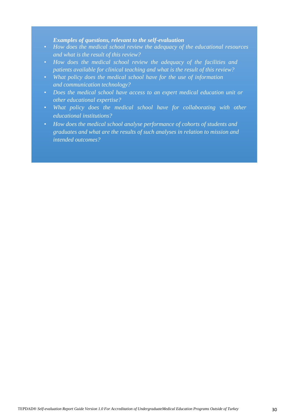- *How does the medical school review the adequacy of the educational resources and what is the result of this review?*
- *How does the medical school review the adequacy of the facilities and patients available for clinical teaching and what is the result of this review?*
- *What policy does the medical school have for the use of information and communication technology?*
- *Does the medical school have access to an expert medical education unit or other educational expertise?*
- What policy does the medical school have for collaborating with other *educational institutions?*
- *How does the medical school analyse performance of cohorts of students and graduates and what are the results of such analyses in relation to mission and intended outcomes?*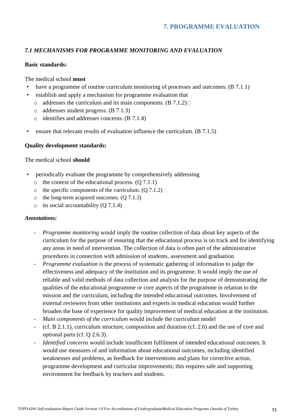# <span id="page-32-1"></span><span id="page-32-0"></span>*7.1 MECHANISMS FOR PROGRAMME MONITORING AND EVALUATION*

#### **Basic standards:**

#### The medical school **must**

- have a programme of routine curriculum monitoring of processes and outcomes. (B 7.1.1)
- establish and apply a mechanism for programme evaluation that
	- $\circ$  addresses the curriculum and its main components. (B 7.1.2)
	- o addresses student progress. (B 7.1.3)
	- o identifies and addresses concerns. (B 7.1.4)
- ensure that relevant results of evaluation influence the curriculum. (B 7.1.5)

#### **Quality development standards:**

#### The medical school **should**

- periodically evaluate the programme by comprehensively addressing
	- $\circ$  the context of the educational process. (Q 7.1.1)
	- $\circ$  the specific components of the curriculum. (Q 7.1.2)
	- o the long-term acquired outcomes. (Q 7.1.3)
	- $\circ$  its social accountability (Q 7.1.4)

- *Programme monitoring* would imply the routine collection of data about key aspects of the curriculum for the purpose of ensuring that the educational process is on track and for identifying any areas in need of intervention. The collection of data is often part of the administrative procedures in connection with admission of students, assessment and graduation.
- *Programme evaluation* is the process of systematic gathering of information to judge the effectiveness and adequacy of the institution and its programme. It would imply the use of reliable and valid methods of data collection and analysis for the purpose of demonstrating the qualities of the educational programme or core aspects of the programme in relation to the mission and the curriculum, including the intended educational outcomes. Involvement of external reviewers from other institutions and experts in medical education would further broaden the base of experience for quality improvement of medical education at the institution.
- *Main components of the curriculum* would include the curriculum model
- (cf. B 2.1.1), curriculum structure, composition and duration (cf. 2.6) and the use of core and optional parts (cf. Q 2.6.3).
- *Identified concerns* would include insufficient fulfilment of intended educational outcomes. It would use measures of and information about educational outcomes, including identified weaknesses and problems, as feedback for interventions and plans for corrective action, programme development and curricular improvements; this requires safe and supporting environment for feedback by teachers and students.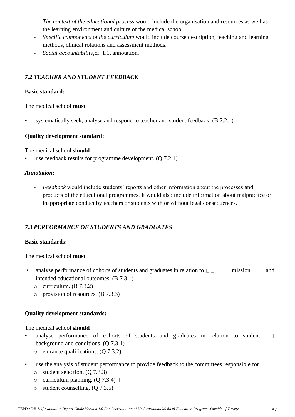- *The context of the educational process* would include the organisation and resources as well as the learning environment and culture of the medical school.
- *Specific components of the curriculum* would include course description, teaching and learning methods, clinical rotations and assessment methods.
- *Social accountability,*cf. 1.1, annotation.

# <span id="page-33-0"></span>*7.2 TEACHER AND STUDENT FEEDBACK*

## **Basic standard:**

The medical school **must**

systematically seek, analyse and respond to teacher and student feedback. (B 7.2.1)

## **Quality development standard:**

The medical school **should**

use feedback results for programme development.  $(Q 7.2.1)$ 

#### *Annotation:*

- *Feedback* would include students' reports and other information about the processes and products of the educational programmes. It would also include information about malpractice or inappropriate conduct by teachers or students with or without legal consequences.

# <span id="page-33-1"></span>*7.3 PERFORMANCE OF STUDENTS AND GRADUATES*

## **Basic standards:**

The medical school **must**

- analyse performance of cohorts of students and graduates in relation to  $\Box \Box$  mission and intended educational outcomes. (B 7.3.1)
	- o curriculum. (B 7.3.2)
	- o provision of resources. (B 7.3.3)

## **Quality development standards:**

- analyse performance of cohorts of students and graduates in relation to student  $\square \square$ background and conditions. (Q 7.3.1)
	- o entrance qualifications. (Q 7.3.2)
- use the analysis of student performance to provide feedback to the committees responsible for
	- o student selection. (Q 7.3.3)
	- $\circ$  curriculum planning. (Q 7.3.4) $\Box$
	- o student counselling. (Q 7.3.5)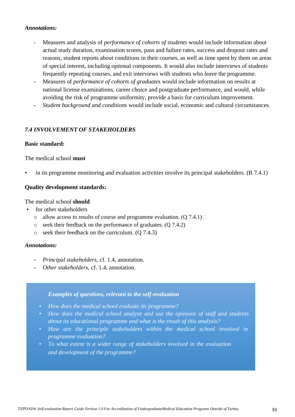- Measures and analysis of *performance of cohorts of students* would include information about actual study duration, examination scores, pass and failure rates, success and dropout rates and reasons, student reports about conditions in their courses, as well as time spent by them on areas of special interest, including optional components. It would also include interviews of students frequently repeating courses, and exit interviews with students who leave the programme.
- Measures of *performance of cohorts of graduates* would include information on results at national license examinations, career choice and postgraduate performance, and would, while avoiding the risk of programme uniformity, provide a basis for curriculum improvement.
- *Student background and conditions* would include social, economic and cultural circumstances.

#### <span id="page-34-0"></span>*7.4 INVOLVEMENT OF STAKEHOLDERS*

#### **Basic standard:**

#### The medical school **must**

• in its programme monitoring and evaluation activities involve its principal stakeholders. (B 7.4.1)

#### **Quality development standards:**

The medical school **should**

- for other stakeholders
	- $\circ$  allow access to results of course and programme evaluation. (Q 7.4.1)
	- o seek their feedback on the performance of graduates. (Q 7.4.2)
	- o seek their feedback on the curriculum. (Q 7.4.3)

#### *Annotations:*

- *Principal stakeholders*, cf. 1.4, annotation.
- *Other stakeholders*, cf. 1.4, annotation.

- *How does the medical school evaluate its programme?*
- *How does the medical school analyse and use the opinions of staff and students about its educational programme and what is the result of this analysis?*
- *How are the principle stakeholders within the medical school involved in programme evaluation?*
- *To what extent is a wider range of stakeholders involved in the evaluation and development of the programme?*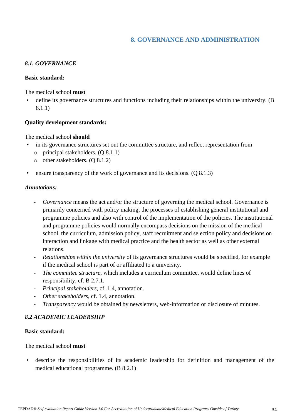# **8. GOVERNANCE AND ADMINISTRATION**

## <span id="page-35-1"></span><span id="page-35-0"></span>*8.1. GOVERNANCE*

#### **Basic standard:**

The medical school **must**

define its governance structures and functions including their relationships within the university. (B 8.1.1)

#### **Quality development standards:**

The medical school **should**

- in its governance structures set out the committee structure, and reflect representation from
	- o principal stakeholders. (Q 8.1.1)
	- o other stakeholders. (Q 8.1.2)
- ensure transparency of the work of governance and its decisions. (Q 8.1.3)

#### *Annotations:*

- *Governance* means the act and/or the structure of governing the medical school. Governance is primarily concerned with policy making, the processes of establishing general institutional and programme policies and also with control of the implementation of the policies. The institutional and programme policies would normally encompass decisions on the mission of the medical school, the curriculum, admission policy, staff recruitment and selection policy and decisions on interaction and linkage with medical practice and the health sector as well as other external relations.
- *Relationships within the university* of its governance structures would be specified, for example if the medical school is part of or affiliated to a university.
- The committee structure, which includes a curriculum committee, would define lines of responsibility, cf. B 2.7.1.
- *Principal stakeholders*, cf. 1.4, annotation.
- *Other stakeholders*, cf. 1.4, annotation.
- *Transparency* would be obtained by newsletters, web-information or disclosure of minutes.

## <span id="page-35-2"></span>*8.2 ACADEMIC LEADERSHIP*

#### **Basic standard:**

The medical school **must**

• describe the responsibilities of its academic leadership for definition and management of the medical educational programme. (B 8.2.1)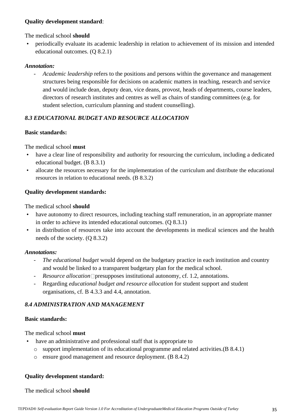## **Quality development standard**:

## The medical school **should**

• periodically evaluate its academic leadership in relation to achievement of its mission and intended educational outcomes. (Q 8.2.1)

## *Annotation:*

- *Academic leadership* refers to the positions and persons within the governance and management structures being responsible for decisions on academic matters in teaching, research and service and would include dean, deputy dean, vice deans, provost, heads of departments, course leaders, directors of research institutes and centres as well as chairs of standing committees (e.g. for student selection, curriculum planning and student counselling).

# <span id="page-36-0"></span>*8.3 EDUCATIONAL BUDGET AND RESOURCE ALLOCATION*

## **Basic standards:**

The medical school **must**

- have a clear line of responsibility and authority for resourcing the curriculum, including a dedicated educational budget. (B 8.3.1)
- allocate the resources necessary for the implementation of the curriculum and distribute the educational resources in relation to educational needs. (B 8.3.2)

## **Quality development standards:**

The medical school **should**

- have autonomy to direct resources, including teaching staff remuneration, in an appropriate manner in order to achieve its intended educational outcomes. (Q 8.3.1)
- in distribution of resources take into account the developments in medical sciences and the health needs of the society. (Q 8.3.2)

## *Annotations:*

- The educational budget would depend on the budgetary practice in each institution and country and would be linked to a transparent budgetary plan for the medical school.
- *Resource allocation* presupposes institutional autonomy, cf. 1.2, annotations.
- Regarding *educational budget and resource allocation* for student support and student organisations, cf. B 4.3.3 and 4.4, annotation.

## <span id="page-36-1"></span>*8.4 ADMINISTRATION AND MANAGEMENT*

## **Basic standards:**

The medical school **must**

- have an administrative and professional staff that is appropriate to
	- o support implementation of its educational programme and related activities.(B 8.4.1)
	- o ensure good management and resource deployment. (B 8.4.2)

## **Quality development standard:**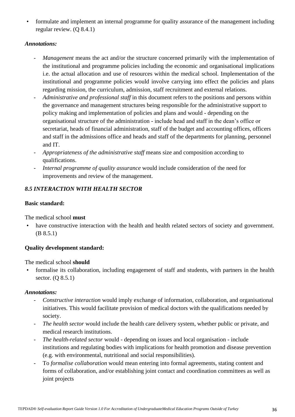• formulate and implement an internal programme for quality assurance of the management including regular review. (Q 8.4.1)

#### *Annotations:*

- *Management* means the act and/or the structure concerned primarily with the implementation of the institutional and programme policies including the economic and organisational implications i.e. the actual allocation and use of resources within the medical school. Implementation of the institutional and programme policies would involve carrying into effect the policies and plans regarding mission, the curriculum, admission, staff recruitment and external relations.
- Administrative and professional staff in this document refers to the positions and persons within the governance and management structures being responsible for the administrative support to policy making and implementation of policies and plans and would - depending on the organisational structure of the administration - include head and staff in the dean's office or secretariat, heads of financial administration, staff of the budget and accounting offices, officers and staff in the admissions office and heads and staff of the departments for planning, personnel and IT.
- *Appropriateness of the administrative staff* means size and composition according to qualifications.
- *Internal programme of quality assurance* would include consideration of the need for improvements and review of the management.

## <span id="page-37-0"></span>*8.5 INTERACTION WITH HEALTH SECTOR*

#### **Basic standard:**

The medical school **must**

have constructive interaction with the health and health related sectors of society and government. (B 8.5.1)

## **Quality development standard:**

The medical school **should**

• formalise its collaboration, including engagement of staff and students, with partners in the health sector. (Q 8.5.1)

- *Constructive interaction* would imply exchange of information, collaboration, and organisational initiatives. This would facilitate provision of medical doctors with the qualifications needed by society.
- The health sector would include the health care delivery system, whether public or private, and medical research institutions.
- *The health-related sector* would depending on issues and local organisation include institutions and regulating bodies with implications for health promotion and disease prevention (e.g. with environmental, nutritional and social responsibilities).
- To *formalise collaboration* would mean entering into formal agreements, stating content and forms of collaboration, and/or establishing joint contact and coordination committees as well as joint projects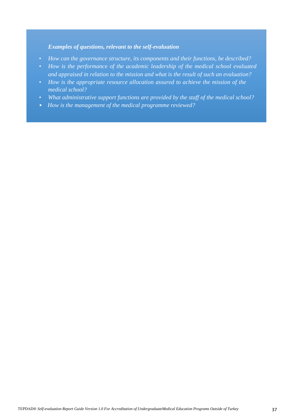- *How can the governance structure, its components and their functions, be described?*
- *How is the performance of the academic leadership of the medical school evaluated and appraised in relation to the mission and what is the result of such an evaluation?*
- *How is the appropriate resource allocation assured to achieve the mission of the medical school?*
- *What administrative support functions are provided by the staff of the medical school?*
- *How is the management of the medical programme reviewed?*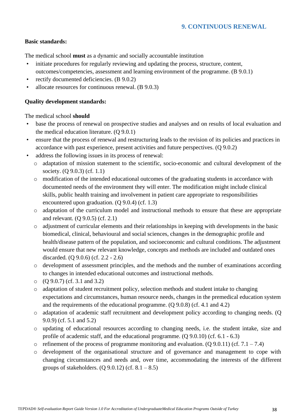#### <span id="page-39-0"></span>**Basic standards:**

The medical school **must** as a dynamic and socially accountable institution

- initiate procedures for regularly reviewing and updating the process, structure, content, outcomes/competencies, assessment and learning environment of the programme. (B 9.0.1)
- rectify documented deficiencies. (B 9.0.2)
- allocate resources for continuous renewal. (B 9.0.3)

## **Quality development standards:**

- base the process of renewal on prospective studies and analyses and on results of local evaluation and the medical education literature. (Q 9.0.1)
- ensure that the process of renewal and restructuring leads to the revision of its policies and practices in accordance with past experience, present activities and future perspectives. (Q 9.0.2)
- address the following issues in its process of renewal:
	- o adaptation of mission statement to the scientific, socio-economic and cultural development of the society. (Q 9.0.3) (cf. 1.1)
	- o modification of the intended educational outcomes of the graduating students in accordance with documented needs of the environment they will enter. The modification might include clinical skills, public health training and involvement in patient care appropriate to responsibilities encountered upon graduation. (Q 9.0.4) (cf. 1.3)
	- o adaptation of the curriculum model and instructional methods to ensure that these are appropriate and relevant. (Q 9.0.5) (cf. 2.1)
	- o adjustment of curricular elements and their relationships in keeping with developments in the basic biomedical, clinical, behavioural and social sciences, changes in the demographic profile and health/disease pattern of the population, and socioeconomic and cultural conditions. The adjustment would ensure that new relevant knowledge, concepts and methods are included and outdated ones discarded. (Q 9.0.6) (cf. 2.2 - 2.6)
	- o development of assessment principles, and the methods and the number of examinations according to changes in intended educational outcomes and instructional methods.
	- o (Q 9.0.7) (cf. 3.1 and 3.2)
	- o adaptation of student recruitment policy, selection methods and student intake to changing expectations and circumstances, human resource needs, changes in the premedical education system and the requirements of the educational programme. (Q 9.0.8) (cf. 4.1 and 4.2)
	- o adaptation of academic staff recruitment and development policy according to changing needs. (Q 9.0.9) (cf. 5.1 and 5.2)
	- o updating of educational resources according to changing needs, i.e. the student intake, size and profile of academic staff, and the educational programme. (Q 9.0.10) (cf. 6.1 - 6.3)
	- $\circ$  refinement of the process of programme monitoring and evaluation. (Q 9.0.11) (cf. 7.1 7.4)
	- o development of the organisational structure and of governance and management to cope with changing circumstances and needs and, over time, accommodating the interests of the different groups of stakeholders.  $(Q 9.0.12)$  (cf.  $8.1 - 8.5$ )